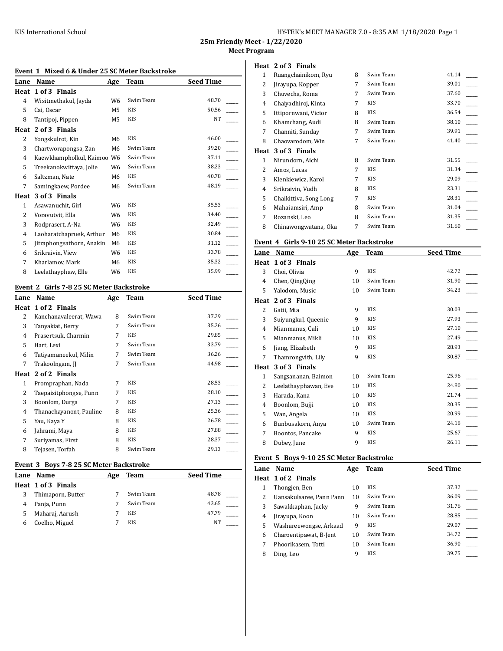| HY-TEK's MEET MANAGER 7.0 - 8:35 AM 1/18/2020 Page 1 |  |  |
|------------------------------------------------------|--|--|
|------------------------------------------------------|--|--|

**25m Friendly Meet - 1/22/2020**

**Meet Program**

# **Event 1 Mixed 6 & Under 25 SC Meter Backstroke**

| Lane         | Name                       | Age            | <b>Team</b> | <b>Seed Time</b> |
|--------------|----------------------------|----------------|-------------|------------------|
| Heat         | 1 of 3 Finals              |                |             |                  |
| 4            | Wisitmethakul, Jayda       | W <sub>6</sub> | Swim Team   | 48.70            |
| 5            | Cai, Oscar                 | M5             | <b>KIS</b>  | 50.56            |
| 8            | Tantipoj, Pippen           | M5             | <b>KIS</b>  | <b>NT</b>        |
| Heat         | 2 of 3 Finals              |                |             |                  |
| 2            | Yongskulrot, Kin           | M6             | <b>KIS</b>  | 46.00            |
| 3            | Chartworapongsa, Zan       | M6             | Swim Team   | 39.20            |
| 4            | Kaewkhampholkul, Kaimoo W6 |                | Swim Team   | 37.11            |
| 5            | Treekanokwittaya, Jolie    | W6             | Swim Team   | 38.23            |
| 6            | Saltzman, Nate             | M6             | <b>KIS</b>  | 40.78            |
| 7            | Samingkaew, Pordee         | M6             | Swim Team   | 48.19            |
| Heat         | 3 of 3 Finals              |                |             |                  |
| $\mathbf{1}$ | Asawanuchit, Girl          | W <sub>6</sub> | <b>KIS</b>  | 35.53            |
| 2            | Voravutvit, Ella           | W6             | <b>KIS</b>  | 34.40            |
| 3            | Rodprasert, A-Na           | W6             | <b>KIS</b>  | 32.49            |
| 4            | Laoharatchapruek, Arthur   | M6             | KIS         | 30.84            |
| 5            | Jitraphongsathorn, Anakin  | M6             | <b>KIS</b>  | 31.12            |
| 6            | Srikraivin, View           | W6             | <b>KIS</b>  | 33.78            |
| 7            | Kharlamov, Mark            | M6             | <b>KIS</b>  | 35.32            |
| 8            | Leelathayphaw, Elle        | W6             | <b>KIS</b>  | 35.99            |

# **Event 2 Girls 7-8 25 SC Meter Backstroke**

| Lane | Name                    | Age | Team       | <b>Seed Time</b> |
|------|-------------------------|-----|------------|------------------|
| Heat | 1 of 2 Finals           |     |            |                  |
| 2    | Kanchanavaleerat, Wawa  | 8   | Swim Team  | 37.29            |
| 3    | Tanyakiat, Berry        | 7   | Swim Team  | 35.26            |
| 4    | Prasertsuk, Charmin     | 7   | <b>KIS</b> | 29.85            |
| 5    | Hart, Lexi              | 7   | Swim Team  | 33.79            |
| 6    | Tatiyamaneekul, Milin   | 7   | Swim Team  | 36.26            |
| 7    | Trakoolngam, JJ         | 7   | Swim Team  | 44.98            |
|      | Heat 2 of 2 Finals      |     |            |                  |
| 1    | Prompraphan, Nada       | 7   | KIS        | 28.53            |
| 2    | Taepaisitphongse, Punn  | 7   | <b>KIS</b> | 28.10            |
| 3    | Boonlom, Durga          | 7   | <b>KIS</b> | 27.13            |
| 4    | Thanachayanont, Pauline | 8   | KIS        | 25.36            |
| 5    | Yau, Kaya Y             | 8   | <b>KIS</b> | 26.78            |
| 6    | Jahrami, Maya           | 8   | KIS        | 27.88            |
| 7    | Suriyamas, First        | 8   | KIS        | 28.37            |
| 8    | Tejasen, Torfah         | 8   | Swim Team  | 29.13            |
|      |                         |     |            |                  |

### **Event 3 Boys 7-8 25 SC Meter Backstroke**

| Lane | Name               | Age | Team       | <b>Seed Time</b> |
|------|--------------------|-----|------------|------------------|
|      | Heat 1 of 3 Finals |     |            |                  |
|      | Thimaporn, Butter  |     | Swim Team  | 48.78            |
|      | Panja, Punn        |     | Swim Team  | 43.65            |
|      | Maharaj, Aarush    |     | KIS        | 47.79            |
| h    | Coelho, Miguel     |     | <b>KIS</b> | NT               |

#### **Heat 2 of 3 Finals**

| 1    | Ruangchainikom, Ryu    | 8 | Swim Team  | 41.14 |  |
|------|------------------------|---|------------|-------|--|
| 2    | Jirayupa, Kopper       | 7 | Swim Team  | 39.01 |  |
| 3    | Chuvecha, Roma         | 7 | Swim Team  | 37.60 |  |
| 4    | Chaiyadhiroj, Kinta    | 7 | KIS        | 33.70 |  |
| 5    | Ittipornwani, Victor   | 8 | KIS        | 36.54 |  |
| 6    | Khamchang, Audi        | 8 | Swim Team  | 38.10 |  |
| 7    | Channiti, Sunday       | 7 | Swim Team  | 39.91 |  |
| 8    | Chaovarodom, Win       | 7 | Swim Team  | 41.40 |  |
| Heat | 3 of 3 Finals          |   |            |       |  |
| 1    | Nirundorn, Aichi       | 8 | Swim Team  | 31.55 |  |
| 2    | Amos, Lucas            | 7 | <b>KIS</b> | 31.34 |  |
| 3    | Klenkiewicz, Karol     | 7 | KIS        | 29.09 |  |
| 4    | Srikraivin, Vudh       | 8 | KIS        | 23.31 |  |
| 5    | Chaikittiva, Song Long | 7 | KIS        | 28.31 |  |
| 6    | Mahaiamsiri, Amp       | 8 | Swim Team  | 31.04 |  |
| 7    | Rozanski, Leo          | 8 | Swim Team  | 31.35 |  |
| 8    | Chinawongwatana, Oka   | 7 | Swim Team  | 31.60 |  |

#### **Event 4 Girls 9-10 25 SC Meter Backstroke**

| Lane         | Name                 | Age | Team       | <b>Seed Time</b> |
|--------------|----------------------|-----|------------|------------------|
| Heat         | 1 of 3 Finals        |     |            |                  |
| 3            | Choi, Olivia         | 9   | <b>KIS</b> | 42.72            |
| 4            | Chen, QingQing       | 10  | Swim Team  | 31.90            |
| 5            | Yalodom, Music       | 10  | Swim Team  | 34.23            |
| Heat         | 2 of 3 Finals        |     |            |                  |
| 2            | Gatii, Mia           | 9   | <b>KIS</b> | 30.03            |
| 3            | Suiyungkul, Queenie  | 9   | <b>KIS</b> | 27.93            |
| 4            | Mianmanus, Cali      | 10  | <b>KIS</b> | 27.10            |
| 5            | Mianmanus, Mikli     | 10  | <b>KIS</b> | 27.49            |
| 6            | Jiang, Elizabeth     | 9   | KIS        | 28.93            |
| 7            | Thamrongvith, Lily   | 9   | KIS        | 30.87            |
| Heat         | 3 of 3 Finals        |     |            |                  |
| $\mathbf{1}$ | Sangsananan, Baimon  | 10  | Swim Team  | 25.96            |
| 2            | Leelathayphawan, Eve | 10  | <b>KIS</b> | 24.80            |
| 3            | Harada, Kana         | 10  | <b>KIS</b> | 21.74            |
| 4            | Boonlom, Bujji       | 10  | <b>KIS</b> | 20.35            |
| 5            | Wan, Angela          | 10  | KIS        | 20.99            |
| 6            | Bunbusakorn, Anya    | 10  | Swim Team  | 24.18            |
| 7            | Boontos, Pancake     | 9   | KIS        | 25.67            |
| 8            | Dubey, June          | 9   | <b>KIS</b> | 26.11            |

### **Event 5 Boys 9-10 25 SC Meter Backstroke**

| Lane | <b>Name</b>              | Age | Team       | <b>Seed Time</b> |
|------|--------------------------|-----|------------|------------------|
|      | Heat 1 of 2 Finals       |     |            |                  |
|      | Thongjen, Ben            | 10  | <b>KIS</b> | 37.32            |
| 2    | Uansakulsaree, Pann Pann | 10  | Swim Team  | 36.09            |
| 3    | Sawakkaphan, Jacky       | 9   | Swim Team  | 31.76            |
| 4    | Jirayupa, Koon           | 10  | Swim Team  | 28.85            |
| 5    | Washareewongse, Arkaad   | 9   | <b>KIS</b> | 29.07            |
| 6    | Charoentipawat, B-Jent   | 10  | Swim Team  | 34.72            |
|      | Phoorikasem, Totti       | 10  | Swim Team  | 36.90            |
| 8    | Ding, Leo                | 9   | <b>KIS</b> | 39.75            |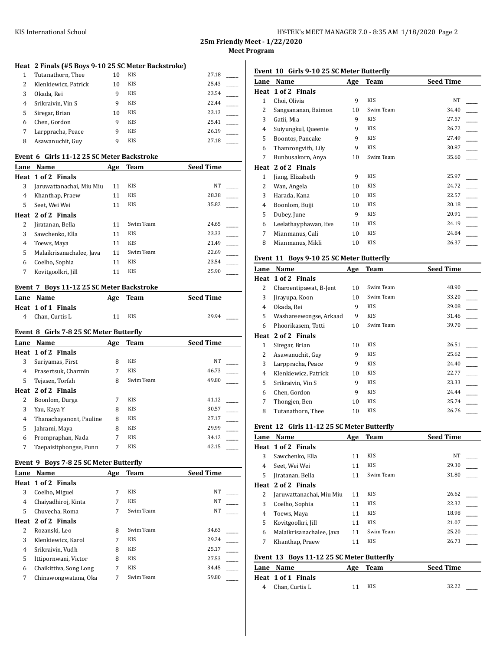| HY-TEK's MEET MANAGER 7.0 - 8:35 AM 1/18/2020 Page 2 |  |
|------------------------------------------------------|--|
|------------------------------------------------------|--|

# **Heat 2 Finals (#5 Boys 9-10 25 SC Meter Backstroke)**

| $\mathbf{1}$ | Tutanathorn, Thee    | 10 | <b>KIS</b> | 27.18 |
|--------------|----------------------|----|------------|-------|
| 2            | Klenkiewicz, Patrick | 10 | <b>KIS</b> | 25.43 |
| 3            | Okada, Rei           | q  | <b>KIS</b> | 23.54 |
| 4            | Srikraivin, Vin S    | q  | <b>KIS</b> | 22.44 |
| 5            | Siregar, Brian       | 10 | <b>KIS</b> | 23.13 |
| 6            | Chen, Gordon         | q  | <b>KIS</b> | 25.41 |
| 7            | Larppracha, Peace    | q  | <b>KIS</b> | 26.19 |
| 8            | Asawanuchit, Guy     | q  | <b>KIS</b> | 27.18 |

### **Event 6 Girls 11-12 25 SC Meter Backstroke**

| Lane | Name                     | Age | Team       | <b>Seed Time</b> |
|------|--------------------------|-----|------------|------------------|
|      | Heat 1 of 2 Finals       |     |            |                  |
| 3    | Jaruwattanachai, Miu Miu | 11  | <b>KIS</b> | NT               |
| 4    | Khanthap, Praew          | 11  | <b>KIS</b> | 28.38            |
| 5    | Seet, Wei Wei            | 11  | <b>KIS</b> | 35.82            |
|      | Heat 2 of 2 Finals       |     |            |                  |
| 2    | Jiratanan, Bella         | 11  | Swim Team  | 24.65            |
| 3    | Sawchenko, Ella          | 11  | <b>KIS</b> | 23.33            |
| 4    | Toews, Maya              | 11  | <b>KIS</b> | 21.49            |
| 5    | Malaikrisanachalee, Java | 11  | Swim Team  | 22.69            |
| 6    | Coelho, Sophia           | 11  | <b>KIS</b> | 23.54            |
|      | Kovitgoolkri, Jill       | 11  | <b>KIS</b> | 25.90            |

# **Event 7 Boys 11-12 25 SC Meter Backstroke**

| Lane Name          | Age | Team | <b>Seed Time</b> |
|--------------------|-----|------|------------------|
| Heat 1 of 1 Finals |     |      |                  |
| 4 Chan, Curtis L   | 11  | KIS  | 29.94            |

#### **Event 8 Girls 7-8 25 SC Meter Butterfly**

| Lane | Name                    | Age | Team       | <b>Seed Time</b> |
|------|-------------------------|-----|------------|------------------|
|      | Heat 1 of 2 Finals      |     |            |                  |
| 3    | Suriyamas, First        | 8   | <b>KIS</b> | NT               |
| 4    | Prasertsuk, Charmin     | 7   | <b>KIS</b> | 46.73            |
| 5    | Tejasen, Torfah         | 8   | Swim Team  | 49.80            |
|      | Heat 2 of 2 Finals      |     |            |                  |
| 2    | Boonlom, Durga          | 7   | <b>KIS</b> | 41.12            |
| 3    | Yau, Kaya Y             | 8   | <b>KIS</b> | 30.57            |
| 4    | Thanachayanont, Pauline | 8   | <b>KIS</b> | 27.17            |
| 5    | Jahrami, Maya           | 8   | <b>KIS</b> | 29.99            |
| 6    | Prompraphan, Nada       | 7   | <b>KIS</b> | 34.12            |
| 7    | Taepaisitphongse, Punn  | 7   | <b>KIS</b> | 42.15            |

### **Event 9 Boys 7-8 25 SC Meter Butterfly**

| Lane | Name                   | Age | Team       | <b>Seed Time</b> |
|------|------------------------|-----|------------|------------------|
|      | Heat 1 of 2 Finals     |     |            |                  |
| 3    | Coelho, Miguel         | 7   | <b>KIS</b> | NT               |
| 4    | Chaiyadhiroj, Kinta    | 7   | <b>KIS</b> | NT               |
| 5    | Chuvecha, Roma         | 7   | Swim Team  | NT               |
|      | Heat 2 of 2 Finals     |     |            |                  |
| 2    | Rozanski, Leo          | 8   | Swim Team  | 34.63            |
| 3    | Klenkiewicz, Karol     | 7   | <b>KIS</b> | 29.24            |
| 4    | Srikraivin, Vudh       | 8   | <b>KIS</b> | 25.17            |
| 5    | Ittipornwani, Victor   | 8   | <b>KIS</b> | 27.53            |
| 6    | Chaikittiva, Song Long | 7   | <b>KIS</b> | 34.45            |
| 7    | Chinawongwatana, Oka   | 7   | Swim Team  | 59.80            |

# **Event 10 Girls 9-10 25 SC Meter Butterfly**

| Lane | Name                 | Age | Team       | <b>Seed Time</b> |
|------|----------------------|-----|------------|------------------|
| Heat | 1 of 2 Finals        |     |            |                  |
| 1    | Choi, Olivia         | 9   | <b>KIS</b> | <b>NT</b>        |
| 2    | Sangsananan, Baimon  | 10  | Swim Team  | 34.40            |
| 3    | Gatii, Mia           | 9   | KIS        | 27.57            |
| 4    | Suiyungkul, Queenie  | 9   | KIS        | 26.72            |
| 5    | Boontos, Pancake     | 9   | KIS        | 27.49            |
| 6    | Thamrongvith, Lily   | 9   | <b>KIS</b> | 30.87            |
| 7    | Bunbusakorn, Anya    | 10  | Swim Team  | 35.60            |
| Heat | 2 of 2 Finals        |     |            |                  |
| 1    | Jiang, Elizabeth     | 9   | KIS        | 25.97            |
| 2    | Wan, Angela          | 10  | KIS        | 24.72            |
| 3    | Harada, Kana         | 10  | KIS        | 22.57            |
| 4    | Boonlom, Bujji       | 10  | KIS        | 20.18            |
| 5    | Dubey, June          | 9   | KIS        | 20.91            |
| 6    | Leelathayphawan, Eve | 10  | KIS        | 24.19            |
| 7    | Mianmanus, Cali      | 10  | KIS        | 24.84            |
| 8    | Mianmanus, Mikli     | 10  | KIS        | 26.37            |
|      |                      |     |            |                  |

# **Event 11 Boys 9-10 25 SC Meter Butterfly**

| Lane | Name                   | Age | Team       | <b>Seed Time</b> |
|------|------------------------|-----|------------|------------------|
|      | Heat 1 of 2 Finals     |     |            |                  |
| 2    | Charoentipawat, B-Jent | 10  | Swim Team  | 48.90            |
| 3    | Jirayupa, Koon         | 10  | Swim Team  | 33.20            |
| 4    | Okada, Rei             | 9   | <b>KIS</b> | 29.08            |
| 5    | Washareewongse, Arkaad | 9   | <b>KIS</b> | 31.46            |
| 6    | Phoorikasem, Totti     | 10  | Swim Team  | 39.70            |
|      | Heat 2 of 2 Finals     |     |            |                  |
| 1    | Siregar, Brian         | 10  | <b>KIS</b> | 26.51            |
| 2    | Asawanuchit, Guy       | 9   | <b>KIS</b> | 25.62            |
| 3    | Larppracha, Peace      | 9   | <b>KIS</b> | 24.40            |
| 4    | Klenkiewicz, Patrick   | 10  | KIS        | 22.77            |
| 5    | Srikraivin, Vin S      | 9   | <b>KIS</b> | 23.33            |
| 6    | Chen, Gordon           | 9   | KIS        | 24.44            |
| 7    | Thongjen, Ben          | 10  | KIS        | 25.74            |
| 8    | Tutanathorn, Thee      | 10  | KIS        | 26.76            |

### **Event 12 Girls 11-12 25 SC Meter Butterfly**

| Lane                                      | <b>Name</b>              | Age | <b>Team</b> | <b>Seed Time</b> |  |
|-------------------------------------------|--------------------------|-----|-------------|------------------|--|
|                                           | Heat 1 of 2 Finals       |     |             |                  |  |
| 3                                         | Sawchenko, Ella          | 11  | <b>KIS</b>  | NT               |  |
| 4                                         | Seet. Wei Wei            | 11  | <b>KIS</b>  | 29.30            |  |
| 5                                         | Jiratanan, Bella         | 11  | Swim Team   | 31.80            |  |
|                                           | Heat 2 of 2 Finals       |     |             |                  |  |
| 2                                         | Jaruwattanachai, Miu Miu | 11  | <b>KIS</b>  | 26.62            |  |
| 3                                         | Coelho, Sophia           | 11  | <b>KIS</b>  | 22.32            |  |
| 4                                         | Toews, Maya              | 11  | <b>KIS</b>  | 18.98            |  |
| 5                                         | Kovitgoolkri, Jill       | 11  | <b>KIS</b>  | 21.07            |  |
| 6                                         | Malaikrisanachalee, Java | 11  | Swim Team   | 25.20            |  |
| 7                                         | Khanthap, Praew          | 11  | <b>KIS</b>  | 26.73            |  |
| Event 13 Boys 11-12 25 SC Meter Butterfly |                          |     |             |                  |  |

| Lane Name          | Age Team | <b>Seed Time</b> |
|--------------------|----------|------------------|
| Heat 1 of 1 Finals |          |                  |
| 4 Chan. Curtis L   | KIS      | 32.22            |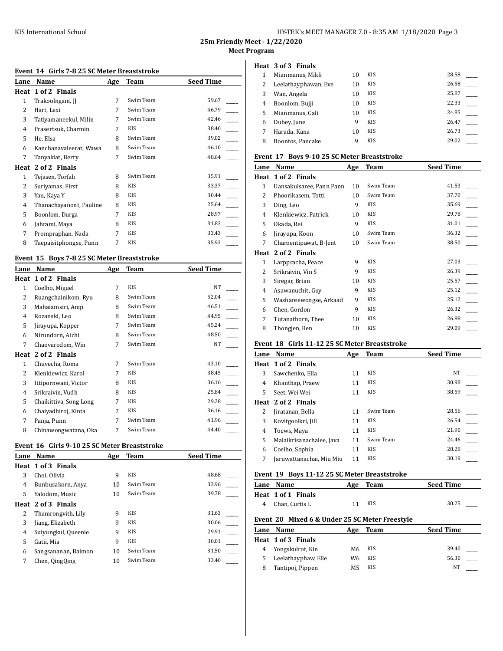| HY-TEK's MEET MANAGER 7.0 - 8:35 AM 1/18/2020 Page 3 |  |  |
|------------------------------------------------------|--|--|
|------------------------------------------------------|--|--|

**25m Friendly Meet - 1/22/2020**

**Meet Program**

# **Event 14 Girls 7-8 25 SC Meter Breaststroke**

| Lane | Name                    | Age | Team      | <b>Seed Time</b> |
|------|-------------------------|-----|-----------|------------------|
| Heat | 1 of 2 Finals           |     |           |                  |
| 1    | Trakoolngam, JJ         | 7   | Swim Team | 59.67            |
| 2    | Hart, Lexi              | 7   | Swim Team | 46.79            |
| 3    | Tatiyamaneekul, Milin   | 7   | Swim Team | 42.46            |
| 4    | Prasertsuk, Charmin     | 7   | KIS       | 38.40            |
| 5    | He, Elsa                | 8   | Swim Team | 39.02            |
| 6    | Kanchanavaleerat, Wawa  | 8   | Swim Team | 46.10            |
| 7    | Tanyakiat, Berry        | 7   | Swim Team | 48.64            |
| Heat | 2 of 2 Finals           |     |           |                  |
| 1    | Tejasen, Torfah         | 8   | Swim Team | 35.91            |
| 2    | Suriyamas, First        | 8   | KIS       | 33.37            |
| 3    | Yau, Kaya Y             | 8   | KIS       | 30.44            |
| 4    | Thanachayanont, Pauline | 8   | KIS       | 25.64            |
| 5    | Boonlom, Durga          | 7   | KIS       | 28.97            |
| 6    | Jahrami, Maya           | 8   | KIS       | 31.83            |
| 7    | Prompraphan, Nada       | 7   | KIS       | 33.43            |
| 8    | Taepaisitphongse, Punn  | 7   | KIS       | 35.93            |

# **Event 15 Boys 7-8 25 SC Meter Breaststroke**

| Lane           | Name                   | Age | Team       | <b>Seed Time</b> |
|----------------|------------------------|-----|------------|------------------|
| Heat           | 1 of 2 Finals          |     |            |                  |
| 1              | Coelho, Miguel         | 7   | <b>KIS</b> | NT               |
| $\mathcal{L}$  | Ruangchainikom, Ryu    | 8   | Swim Team  | 52.04            |
| 3              | Mahaiamsiri, Amp       | 8   | Swim Team  | 46.51            |
| $\overline{4}$ | Rozanski, Leo          | 8   | Swim Team  | 44.95            |
| 5              | Jirayupa, Kopper       | 7   | Swim Team  | 45.24            |
| 6              | Nirundorn, Aichi       | 8   | Swim Team  | 48.50            |
| 7              | Chaovarodom, Win       | 7   | Swim Team  | NT               |
| Heat           | 2 of 2 Finals          |     |            |                  |
| 1              | Chuvecha, Roma         | 7   | Swim Team  | 43.10            |
| 2              | Klenkiewicz, Karol     | 7   | <b>KIS</b> | 38.45            |
| 3              | Ittipornwani, Victor   | 8   | <b>KIS</b> | 36.16            |
| $\overline{4}$ | Srikraivin, Vudh       | 8   | <b>KIS</b> | 25.84            |
| 5              | Chaikittiva, Song Long | 7   | <b>KIS</b> | 29.28            |
| 6              | Chaiyadhiroj, Kinta    | 7   | <b>KIS</b> | 36.16            |
| 7              | Panja, Punn            | 7   | Swim Team  | 41.96            |
| 8              | Chinawongwatana, Oka   | 7   | Swim Team  | 44.40            |

# **Event 16 Girls 9-10 25 SC Meter Breaststroke**

| Lane | Name                | Age | Team       | <b>Seed Time</b> |
|------|---------------------|-----|------------|------------------|
|      | Heat 1 of 3 Finals  |     |            |                  |
| 3    | Choi, Olivia        | 9   | <b>KIS</b> | 48.68            |
| 4    | Bunbusakorn, Anya   | 10  | Swim Team  | 33.96            |
| 5    | Yalodom, Music      | 10  | Swim Team  | 39.78            |
|      | Heat 2 of 3 Finals  |     |            |                  |
| 2    | Thamrongvith, Lily  | 9   | <b>KIS</b> | 31.63            |
| 3    | Jiang, Elizabeth    | 9   | <b>KIS</b> | 30.06            |
| 4    | Suiyungkul, Queenie | 9   | <b>KIS</b> | 29.91            |
| 5    | Gatii, Mia          | 9   | <b>KIS</b> | 30.01            |
| 6    | Sangsananan, Baimon | 10  | Swim Team  | 31.50            |
| 7    | Chen, QingQing      | 10  | Swim Team  | 33.40            |

#### **Heat 3 of 3 Finals**

|   | Mianmanus, Mikli     | 10 | <b>KIS</b> | 28.58 |  |
|---|----------------------|----|------------|-------|--|
| 2 | Leelathayphawan, Eve | 10 | <b>KIS</b> | 26.58 |  |
| 3 | Wan, Angela          | 10 | KIS        | 25.87 |  |
| 4 | Boonlom, Bujji       | 10 | KIS        | 22.33 |  |
| 5 | Mianmanus, Cali      | 10 | <b>KIS</b> | 24.85 |  |
| 6 | Dubey, June          | 9  | KIS        | 26.47 |  |
|   | Harada, Kana         | 10 | <b>KIS</b> | 26.73 |  |
| 8 | Boontos, Pancake     | q  | <b>KIS</b> | 29.02 |  |
|   |                      |    |            |       |  |

### **Event 17 Boys 9-10 25 SC Meter Breaststroke**

| Lane | Name                     | Age | <b>Team</b> | <b>Seed Time</b> |
|------|--------------------------|-----|-------------|------------------|
| Heat | 1 of 2 Finals            |     |             |                  |
| 1    | Uansakulsaree, Pann Pann | 10  | Swim Team   | 41.53            |
| 2    | Phoorikasem, Totti       | 10  | Swim Team   | 37.70            |
| 3    | Ding, Leo                | 9   | KIS         | 35.69            |
| 4    | Klenkiewicz, Patrick     | 10  | KIS         | 29.78            |
| 5    | Okada, Rei               | 9   | KIS         | 31.01            |
| 6    | Jirayupa, Koon           | 10  | Swim Team   | 36.32            |
| 7    | Charoentipawat, B-Jent   | 10  | Swim Team   | 38.50            |
| Heat | 2 of 2 Finals            |     |             |                  |
| 1    | Larppracha, Peace        | 9   | <b>KIS</b>  | 27.03            |
| 2    | Srikraivin, Vin S        | 9   | KIS         | 26.39            |
| 3    | Siregar, Brian           | 10  | KIS         | 25.57            |
| 4    | Asawanuchit, Guy         | 9   | KIS         | 25.12            |
| 5    | Washareewongse, Arkaad   | 9   | KIS         | 25.12            |
| 6    | Chen, Gordon             | 9   | KIS         | 26.32            |
| 7    | Tutanathorn, Thee        | 10  | KIS         | 26.88            |
| 8    | Thongjen, Ben            | 10  | KIS         | 29.09            |

# **Event 18 Girls 11-12 25 SC Meter Breaststroke**

| Lane | Name                     | Age | <b>Team</b> | <b>Seed Time</b> |
|------|--------------------------|-----|-------------|------------------|
|      | Heat 1 of 2 Finals       |     |             |                  |
| 3    | Sawchenko, Ella          | 11  | <b>KIS</b>  | <b>NT</b>        |
| 4    | Khanthap, Praew          | 11  | <b>KIS</b>  | 30.98            |
| 5    | Seet, Wei Wei            | 11  | <b>KIS</b>  | 38.59            |
|      | Heat 2 of 2 Finals       |     |             |                  |
| 2    | Jiratanan, Bella         | 11  | Swim Team   | 28.56            |
| 3    | Kovitgoolkri, Jill       | 11  | <b>KIS</b>  | 26.54            |
| 4    | Toews, Maya              | 11  | <b>KIS</b>  | 21.90            |
| 5    | Malaikrisanachalee, Java | 11  | Swim Team   | 24.46            |
| 6    | Coelho, Sophia           | 11  | <b>KIS</b>  | 28.28            |
| 7    | Jaruwattanachai, Miu Miu | 11  | <b>KIS</b>  | 30.19            |

# **Event 19 Boys 11-12 25 SC Meter Breaststroke**

|   | Lane Name                                      | Age | Team       | <b>Seed Time</b> |  |
|---|------------------------------------------------|-----|------------|------------------|--|
|   | Heat 1 of 1 Finals                             |     |            |                  |  |
| 4 | Chan, Curtis L                                 | 11  | <b>KIS</b> | 30.25            |  |
|   | Event 20 Mixed 6 & Under 25 SC Meter Freestyle |     |            |                  |  |
|   | Lane Name                                      | Age | Team       | <b>Seed Time</b> |  |
|   | Heat 1 of 3 Finals                             |     |            |                  |  |
| 4 | Yongskulrot, Kin                               | M6  | <b>KIS</b> | 39.40            |  |
| 5 | Leelathayphaw, Elle                            | W6  | <b>KIS</b> | 56.30            |  |
|   |                                                |     |            |                  |  |

8 Tantipoj, Pippen M5 KIS NT \_\_\_\_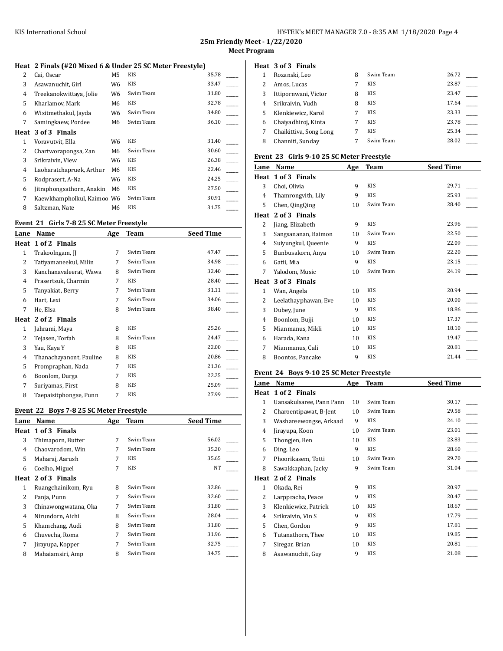#### **Heat 2 Finals (#20 Mixed 6 & Under 25 SC Meter Freestyle)**

| 2    | Cai, Oscar                 | M5 | <b>KIS</b> | 35.78 |  |
|------|----------------------------|----|------------|-------|--|
| 3    | Asawanuchit, Girl          | W6 | <b>KIS</b> | 33.47 |  |
| 4    | Treekanokwittaya, Jolie    | W6 | Swim Team  | 31.80 |  |
| 5    | Kharlamov, Mark            | M6 | KIS        | 32.78 |  |
| 6    | Wisitmethakul, Jayda       | W6 | Swim Team  | 34.80 |  |
| 7    | Samingkaew, Pordee         | M6 | Swim Team  | 36.10 |  |
| Heat | 3 of 3 Finals              |    |            |       |  |
| 1    | Voravutvit, Ella           | W6 | KIS        | 31.40 |  |
| 2    | Chartworapongsa, Zan       | M6 | Swim Team  | 30.60 |  |
| 3    | Srikraivin, View           | W6 | KIS        | 26.38 |  |
| 4    | Laoharatchapruek, Arthur   | M6 | KIS        | 22.46 |  |
| 5    | Rodprasert, A-Na           | W6 | KIS        | 24.25 |  |
| 6    | Jitraphongsathorn, Anakin  | M6 | KIS        | 27.50 |  |
| 7    | Kaewkhampholkul, Kaimoo W6 |    | Swim Team  | 30.91 |  |
| 8    | Saltzman, Nate             | M6 | <b>KIS</b> | 31.75 |  |
|      |                            |    |            |       |  |

#### **Event 21 Girls 7-8 25 SC Meter Freestyle**

| Lane | Name                    | Age | Team       | Seed Time |
|------|-------------------------|-----|------------|-----------|
| Heat | 1 of 2 Finals           |     |            |           |
| 1    | Trakoolngam, JJ         | 7   | Swim Team  | 47.47     |
| 2    | Tatiyamaneekul, Milin   | 7   | Swim Team  | 34.98     |
| 3    | Kanchanavaleerat, Wawa  | 8   | Swim Team  | 32.40     |
| 4    | Prasertsuk, Charmin     | 7   | <b>KIS</b> | 28.40     |
| 5    | Tanyakiat, Berry        | 7   | Swim Team  | 31.11     |
| 6    | Hart, Lexi              | 7   | Swim Team  | 34.06     |
| 7    | He, Elsa                | 8   | Swim Team  | 38.40     |
| Heat | 2 of 2 Finals           |     |            |           |
| 1    | Jahrami, Maya           | 8   | KIS        | 25.26     |
| 2    | Tejasen, Torfah         | 8   | Swim Team  | 24.47     |
| 3    | Yau, Kaya Y             | 8   | KIS        | 22.00     |
| 4    | Thanachayanont, Pauline | 8   | <b>KIS</b> | 20.86     |
| 5    | Prompraphan, Nada       | 7   | KIS        | 21.36     |
| 6    | Boonlom, Durga          | 7   | KIS        | 22.25     |
| 7    | Suriyamas, First        | 8   | KIS        | 25.09     |
| 8    | Taepaisitphongse, Punn  | 7   | KIS        | 27.99     |

# **Event 22 Boys 7-8 25 SC Meter Freestyle**

| Lane | Name                 | Age | Team       | <b>Seed Time</b> |
|------|----------------------|-----|------------|------------------|
|      | Heat 1 of 3 Finals   |     |            |                  |
| 3    | Thimaporn, Butter    | 7   | Swim Team  | 56.02            |
| 4    | Chaovarodom, Win     | 7   | Swim Team  | 35.20            |
| 5    | Maharaj, Aarush      | 7   | <b>KIS</b> | 35.65            |
| 6    | Coelho, Miguel       | 7   | <b>KIS</b> | NT               |
|      | Heat 2 of 3 Finals   |     |            |                  |
| 1    | Ruangchainikom, Ryu  | 8   | Swim Team  | 32.86            |
| 2    | Panja, Punn          | 7   | Swim Team  | 32.60            |
| 3    | Chinawongwatana, Oka | 7   | Swim Team  | 31.80            |
| 4    | Nirundorn, Aichi     | 8   | Swim Team  | 28.04            |
| 5    | Khamchang, Audi      | 8   | Swim Team  | 31.80            |
| 6    | Chuvecha, Roma       | 7   | Swim Team  | 31.96            |
| 7    | Jirayupa, Kopper     | 7   | Swim Team  | 32.75            |
| 8    | Mahaiamsiri, Amp     | 8   | Swim Team  | 34.75            |
|      |                      |     |            |                  |

|   | Heat 3 of 3 Finals     |   |            |       |
|---|------------------------|---|------------|-------|
|   | Rozanski, Leo          | 8 | Swim Team  | 26.72 |
| 2 | Amos, Lucas            | 7 | <b>KIS</b> | 23.87 |
| 3 | Ittipornwani, Victor   | 8 | <b>KIS</b> | 23.47 |
| 4 | Srikraivin, Vudh       | 8 | <b>KIS</b> | 17.64 |
| 5 | Klenkiewicz, Karol     | 7 | <b>KIS</b> | 23.33 |
| 6 | Chaiyadhiroj, Kinta    | 7 | <b>KIS</b> | 23.78 |
| 7 | Chaikittiva, Song Long |   | <b>KIS</b> | 25.34 |
| 8 | Channiti, Sunday       |   | Swim Team  | 28.02 |

# **Event 23 Girls 9-10 25 SC Meter Freestyle**

| Lane | Name                 | Age | <b>Team</b> | <b>Seed Time</b> |
|------|----------------------|-----|-------------|------------------|
| Heat | 1 of 3 Finals        |     |             |                  |
| 3    | Choi, Olivia         | 9   | <b>KIS</b>  | 29.71            |
| 4    | Thamrongvith, Lily   | 9   | <b>KIS</b>  | 25.93            |
| 5    | Chen, QingQing       | 10  | Swim Team   | 28.40            |
| Heat | 2 of 3 Finals        |     |             |                  |
| 2    | Jiang, Elizabeth     | 9   | <b>KIS</b>  | 23.96            |
| 3    | Sangsananan, Baimon  | 10  | Swim Team   | 22.50            |
| 4    | Suiyungkul, Queenie  | 9   | <b>KIS</b>  | 22.09            |
| 5    | Bunbusakorn, Anya    | 10  | Swim Team   | 22.20            |
| 6    | Gatii, Mia           | 9   | <b>KIS</b>  | 23.15            |
| 7    | Yalodom, Music       | 10  | Swim Team   | 24.19            |
| Heat | 3 of 3 Finals        |     |             |                  |
| 1    | Wan, Angela          | 10  | <b>KIS</b>  | 20.94            |
| 2    | Leelathayphawan, Eve | 10  | <b>KIS</b>  | 20.00            |
| 3    | Dubey, June          | 9   | <b>KIS</b>  | 18.86            |
| 4    | Boonlom, Bujji       | 10  | <b>KIS</b>  | 17.37            |
| 5    | Mianmanus, Mikli     | 10  | <b>KIS</b>  | 18.10            |
| 6    | Harada, Kana         | 10  | <b>KIS</b>  | 19.47            |
| 7    | Mianmanus, Cali      | 10  | <b>KIS</b>  | 20.81            |
| 8    | Boontos, Pancake     | 9   | KIS         | 21.44            |
|      |                      |     |             |                  |

### **Event 24 Boys 9-10 25 SC Meter Freestyle**

| Name                   | Age | Team                     | <b>Seed Time</b> |
|------------------------|-----|--------------------------|------------------|
| 1 of 2 Finals          |     |                          |                  |
|                        | 10  | Swim Team                | 30.17            |
| Charoentipawat, B-Jent | 10  | Swim Team                | 29.58            |
| Washareewongse, Arkaad | 9   | <b>KIS</b>               | 24.10            |
| Jirayupa, Koon         | 10  | Swim Team                | 23.01            |
| Thongjen, Ben          | 10  | KIS                      | 23.83            |
| Ding, Leo              | 9   | <b>KIS</b>               | 28.60            |
| Phoorikasem, Totti     | 10  | Swim Team                | 29.70            |
| Sawakkaphan, Jacky     | 9   | Swim Team                | 31.04            |
| 2 of 2 Finals          |     |                          |                  |
| Okada, Rei             | 9   | <b>KIS</b>               | 20.97            |
| Larppracha, Peace      | 9   | <b>KIS</b>               | 20.47            |
| Klenkiewicz, Patrick   | 10  | <b>KIS</b>               | 18.67            |
| Srikraivin, Vin S      | 9   | KIS                      | 17.79            |
| Chen, Gordon           | 9   | <b>KIS</b>               | 17.81            |
| Tutanathorn, Thee      | 10  | <b>KIS</b>               | 19.85            |
| Siregar, Brian         | 10  | KIS                      | 20.81            |
| Asawanuchit, Guy       | 9   | KIS                      | 21.08            |
|                        |     | Uansakulsaree, Pann Pann |                  |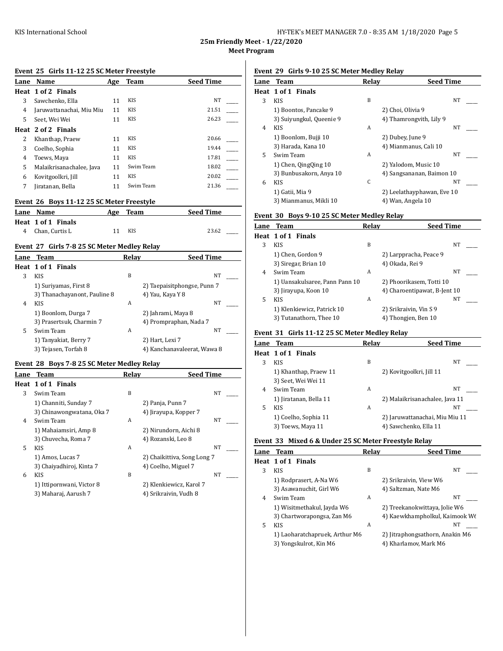| HY-TEK's MEET MANAGER 7.0 - 8:35 AM 1/18/2020 Page 5 |  |  |
|------------------------------------------------------|--|--|
|------------------------------------------------------|--|--|

## **Event 25 Girls 11-12 25 SC Meter Freestyle**

| Lane | Name                                        | Age | <b>Team</b> | <b>Seed Time</b> |
|------|---------------------------------------------|-----|-------------|------------------|
| Heat | 1 of 2 Finals                               |     |             |                  |
| 3    | Sawchenko, Ella                             | 11  | <b>KIS</b>  | <b>NT</b>        |
| 4    | Jaruwattanachai, Miu Miu                    | 11  | <b>KIS</b>  | 21.51            |
| 5    | Seet, Wei Wei                               | 11  | <b>KIS</b>  | 26.23            |
| Heat | 2 of 2 Finals                               |     |             |                  |
| 2    | Khanthap, Praew                             | 11  | <b>KIS</b>  | 20.66            |
| 3    | Coelho, Sophia                              | 11  | <b>KIS</b>  | 19.44            |
| 4    | Toews, Maya                                 | 11  | <b>KIS</b>  | 17.81            |
| 5    | Malaikrisanachalee, Java                    | 11  | Swim Team   | 18.02            |
| 6    | Kovitgoolkri, Jill                          | 11  | <b>KIS</b>  | 20.02            |
| 7    | Jiratanan, Bella                            | 11  | Swim Team   | 21.36            |
|      | Event 26 Boys 11-12 25 SC Meter Freestyle   |     |             |                  |
| Lane | Name                                        | Age | Team        | <b>Seed Time</b> |
| Heat | 1 of 1 Finals                               |     |             |                  |
| 4    | Chan, Curtis L                              | 11  | <b>KIS</b>  | 23.62            |
|      | Event 27 Girls 7-8 25 SC Meter Medley Relay |     |             |                  |
| Lane | <b>Team</b>                                 |     | Relay       | <b>Seed Time</b> |
|      | Haat 1 of 1 Finale                          |     |             |                  |

|   | Heat 1 of 1 Finals           |   |                             |  |
|---|------------------------------|---|-----------------------------|--|
|   | <b>KIS</b>                   | B | NT                          |  |
|   | 1) Suriyamas, First 8        |   | 2) Taepaisitphongse, Punn 7 |  |
|   | 3) Thanachayanont, Pauline 8 |   | 4) Yau, Kaya Y 8            |  |
| 4 | <b>KIS</b>                   | А | NT                          |  |
|   | 1) Boonlom, Durga 7          |   | 2) Jahrami, Maya 8          |  |
|   | 3) Prasertsuk, Charmin 7     |   | 4) Prompraphan, Nada 7      |  |
| 5 | Swim Team                    | A | NT                          |  |
|   | 1) Tanyakiat, Berry 7        |   | 2) Hart, Lexi 7             |  |
|   | 3) Tejasen, Torfah 8         |   | 4) Kanchanavaleerat, Wawa 8 |  |

# **Event 28 Boys 7-8 25 SC Meter Medley Relay**

| Lane | <b>Team</b>               | Relay | <b>Seed Time</b>            |    |  |
|------|---------------------------|-------|-----------------------------|----|--|
|      | Heat 1 of 1 Finals        |       |                             |    |  |
| 3    | Swim Team                 | B     |                             | NT |  |
|      | 1) Channiti, Sunday 7     |       | 2) Panja, Punn 7            |    |  |
|      | 3) Chinawongwatana, Oka 7 |       | 4) Jirayupa, Kopper 7       |    |  |
| 4    | Swim Team                 | A     |                             | NT |  |
|      | 1) Mahaiamsiri, Amp 8     |       | 2) Nirundorn, Aichi 8       |    |  |
|      | 3) Chuvecha, Roma 7       |       | 4) Rozanski, Leo 8          |    |  |
| 5.   | <b>KIS</b>                | A     |                             | NT |  |
|      | 1) Amos, Lucas 7          |       | 2) Chaikittiva, Song Long 7 |    |  |
|      | 3) Chaiyadhiroj, Kinta 7  |       | 4) Coelho, Miguel 7         |    |  |
| 6    | <b>KIS</b>                | B     |                             | NT |  |
|      | 1) Ittipornwani, Victor 8 |       | 2) Klenkiewicz, Karol 7     |    |  |
|      | 3) Maharaj, Aarush 7      |       | 4) Srikraivin, Vudh 8       |    |  |

# **Event 29 Girls 9-10 25 SC Meter Medley Relay**

| Lane | <b>Team</b>              | Relav | <b>Seed Time</b>           |  |
|------|--------------------------|-------|----------------------------|--|
|      | Heat 1 of 1 Finals       |       |                            |  |
| 3    | <b>KIS</b>               | B     | NT                         |  |
|      | 1) Boontos, Pancake 9    |       | 2) Choi, Olivia 9          |  |
|      | 3) Suiyungkul, Queenie 9 |       | 4) Thamrongvith, Lily 9    |  |
| 4    | <b>KIS</b>               | A     | NT                         |  |
|      | 1) Boonlom, Bujji 10     |       | 2) Dubey, June 9           |  |
|      | 3) Harada, Kana 10       |       | 4) Mianmanus, Cali 10      |  |
| 5    | Swim Team                | A     | <b>NT</b>                  |  |
|      | 1) Chen, QingQing 10     |       | 2) Yalodom, Music 10       |  |
|      | 3) Bunbusakorn, Anya 10  |       | 4) Sangsananan, Baimon 10  |  |
| 6    | <b>KIS</b>               | C     | NT                         |  |
|      | 1) Gatii, Mia 9          |       | 2) Leelathayphawan, Eve 10 |  |
|      | 3) Mianmanus, Mikli 10   |       | 4) Wan, Angela 10          |  |

# **Event 30 Boys 9-10 25 SC Meter Medley Relay**

|   | Lane Team                      | Relav | <b>Seed Time</b>             |  |
|---|--------------------------------|-------|------------------------------|--|
|   | Heat 1 of 1 Finals             |       |                              |  |
| 3 | <b>KIS</b>                     | B     | NT                           |  |
|   | 1) Chen, Gordon 9              |       | 2) Larppracha, Peace 9       |  |
|   | 3) Siregar, Brian 10           |       | 4) Okada, Rei 9              |  |
| 4 | Swim Team                      | A     | NT                           |  |
|   | 1) Uansakulsaree, Pann Pann 10 |       | 2) Phoorikasem, Totti 10     |  |
|   | 3) Jirayupa, Koon 10           |       | 4) Charoentipawat, B-Jent 10 |  |
| 5 | <b>KIS</b>                     | A     | NT                           |  |
|   | 1) Klenkiewicz, Patrick 10     |       | 2) Srikraivin, Vin S 9       |  |
|   | 3) Tutanathorn, Thee 10        |       | 4) Thongjen, Ben 10          |  |

# **Event 31 Girls 11-12 25 SC Meter Medley Relay**

|   | Lane Team              | Relav | <b>Seed Time</b>               |
|---|------------------------|-------|--------------------------------|
|   | Heat 1 of 1 Finals     |       |                                |
| 3 | KIS.                   | B     | NT                             |
|   | 1) Khanthap, Praew 11  |       | 2) Kovitgoolkri, Jill 11       |
|   | 3) Seet, Wei Wei 11    |       |                                |
| 4 | Swim Team              | A     | NT                             |
|   | 1) Jiratanan, Bella 11 |       | 2) Malaikrisanachalee, Java 11 |
| 5 | KIS.                   | A     | NT                             |
|   | 1) Coelho, Sophia 11   |       | 2) Jaruwattanachai, Miu Miu 11 |
|   | 3) Toews, Maya 11      |       | 4) Sawchenko, Ella 11          |

### **Event 33 Mixed 6 & Under 25 SC Meter Freestyle Relay**

|   | <b>Lane Team</b>               | Relav | <b>Seed Time</b>                |
|---|--------------------------------|-------|---------------------------------|
|   | Heat 1 of 1 Finals             |       |                                 |
| 3 | <b>KIS</b>                     | B     | NT                              |
|   | 1) Rodprasert, A-Na W6         |       | 2) Srikraivin, View W6          |
|   | 3) Asawanuchit, Girl W6        |       | 4) Saltzman, Nate M6            |
| 4 | Swim Team                      | A     | NT                              |
|   | 1) Wisitmethakul, Jayda W6     |       | 2) Treekanokwittaya, Jolie W6   |
|   | 3) Chartworapongsa, Zan M6     |       | 4) Kaewkhampholkul, Kaimook We  |
| 5 | <b>KIS</b>                     | A     | NT                              |
|   | 1) Laoharatchapruek, Arthur M6 |       | 2) Jitraphongsathorn, Anakin M6 |
|   | 3) Yongskulrot, Kin M6         |       | 4) Kharlamov, Mark M6           |